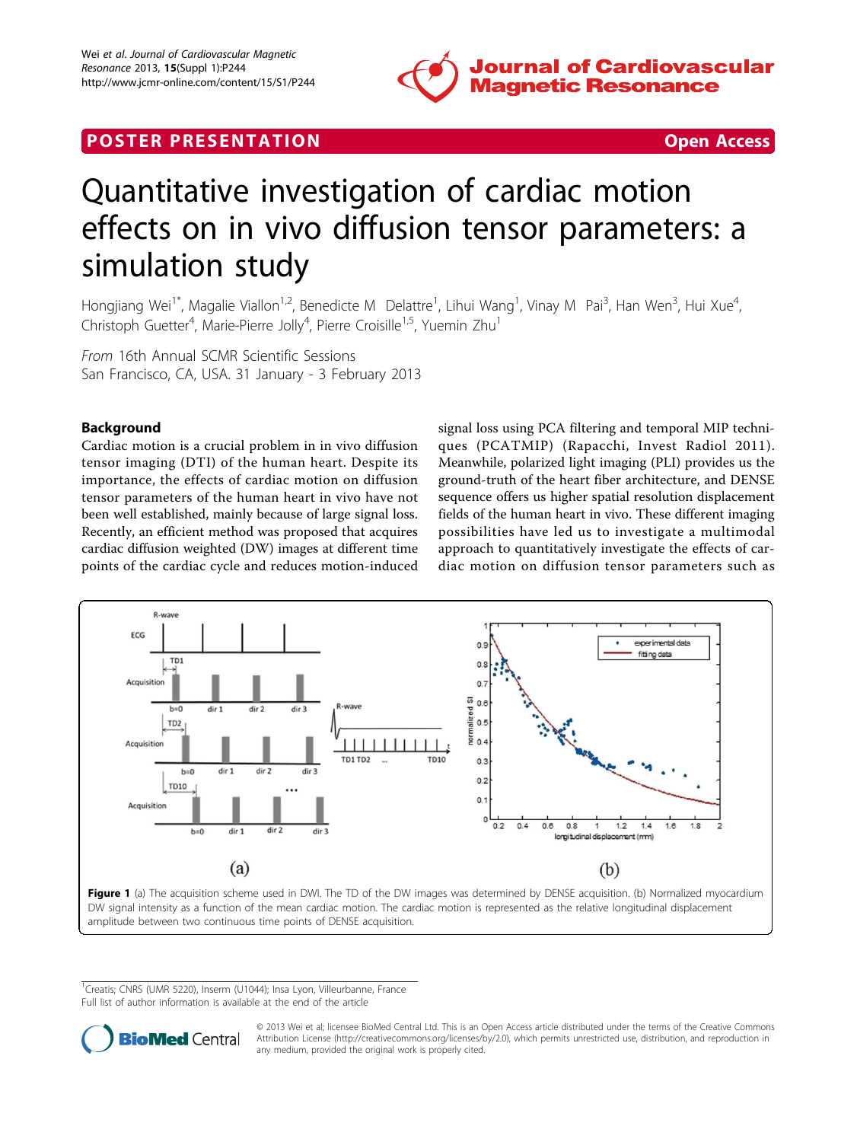

# <span id="page-0-0"></span>**POSTER PRESENTATION CONSUMING THE SECOND CONSUMING THE SECOND CONSUMING THE SECOND CONSUMING THE SECOND CONSUMING THE SECOND CONSUMING THE SECOND CONSUMING THE SECOND CONSUMING THE SECOND CONSUMING THE SECOND CONSUMING**



# Quantitative investigation of cardiac motion effects on in vivo diffusion tensor parameters: a simulation study

Hongjiang Wei<sup>1\*</sup>, Magalie Viallon<sup>1,2</sup>, Benedicte M Delattre<sup>1</sup>, Lihui Wang<sup>1</sup>, Vinay M Pai<sup>3</sup>, Han Wen<sup>3</sup>, Hui Xue<sup>4</sup> , Christoph Guetter<sup>4</sup>, Marie-Pierre Jolly<sup>4</sup>, Pierre Croisille<sup>1,5</sup>, Yuemin Zhu<sup>1</sup>

From 16th Annual SCMR Scientific Sessions San Francisco, CA, USA. 31 January - 3 February 2013

# Background

Cardiac motion is a crucial problem in in vivo diffusion tensor imaging (DTI) of the human heart. Despite its importance, the effects of cardiac motion on diffusion tensor parameters of the human heart in vivo have not been well established, mainly because of large signal loss. Recently, an efficient method was proposed that acquires cardiac diffusion weighted (DW) images at different time points of the cardiac cycle and reduces motion-induced

signal loss using PCA filtering and temporal MIP techniques (PCATMIP) (Rapacchi, Invest Radiol 2011). Meanwhile, polarized light imaging (PLI) provides us the ground-truth of the heart fiber architecture, and DENSE sequence offers us higher spatial resolution displacement fields of the human heart in vivo. These different imaging possibilities have led us to investigate a multimodal approach to quantitatively investigate the effects of cardiac motion on diffusion tensor parameters such as



<sup>1</sup>Creatis; CNRS (UMR 5220), Inserm (U1044); Insa Lyon, Villeurbanne, France Full list of author information is available at the end of the article



© 2013 Wei et al; licensee BioMed Central Ltd. This is an Open Access article distributed under the terms of the Creative Commons Attribution License [\(http://creativecommons.org/licenses/by/2.0](http://creativecommons.org/licenses/by/2.0)), which permits unrestricted use, distribution, and reproduction in any medium, provided the original work is properly cited.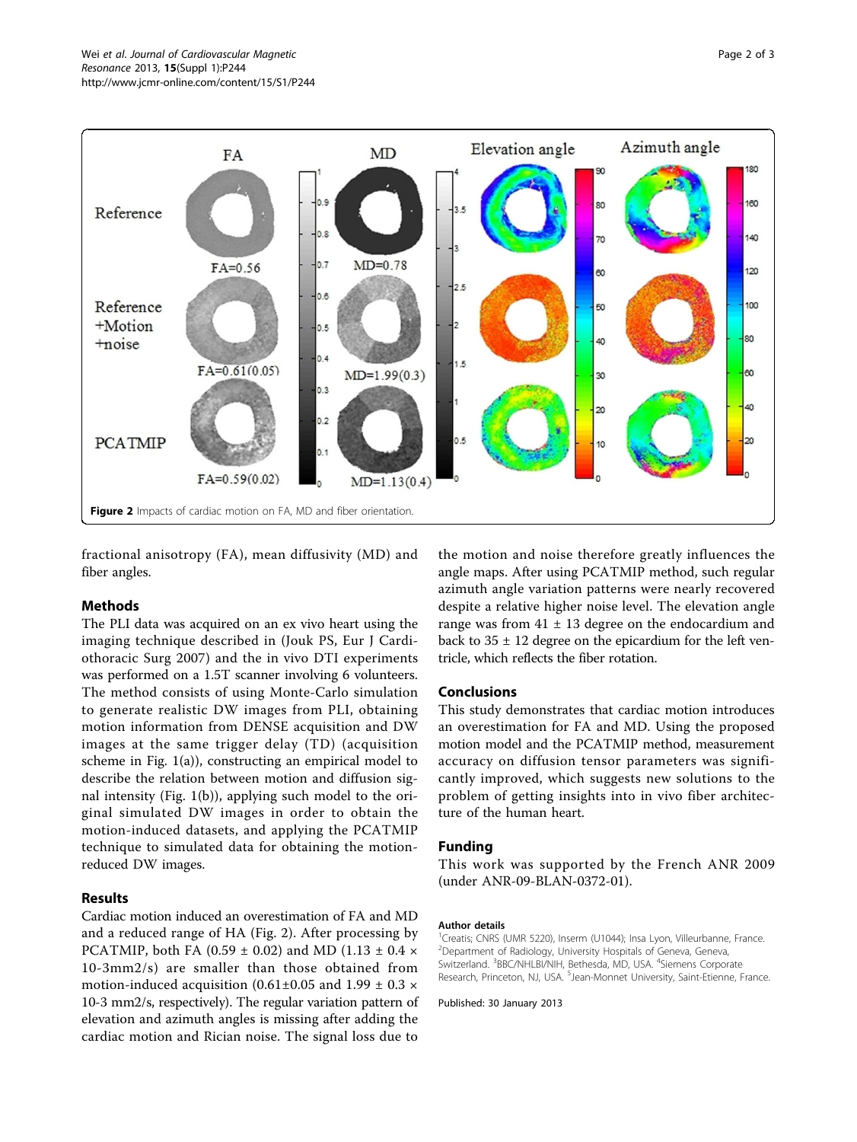

fractional anisotropy (FA), mean diffusivity (MD) and fiber angles.

## Methods

The PLI data was acquired on an ex vivo heart using the imaging technique described in (Jouk PS, Eur J Cardiothoracic Surg 2007) and the in vivo DTI experiments was performed on a 1.5T scanner involving 6 volunteers. The method consists of using Monte-Carlo simulation to generate realistic DW images from PLI, obtaining motion information from DENSE acquisition and DW images at the same trigger delay (TD) (acquisition scheme in Fig. [1\(a\)\)](#page-0-0), constructing an empirical model to describe the relation between motion and diffusion signal intensity (Fig. [1\(b\)](#page-0-0)), applying such model to the original simulated DW images in order to obtain the motion-induced datasets, and applying the PCATMIP technique to simulated data for obtaining the motionreduced DW images.

# Results

Cardiac motion induced an overestimation of FA and MD and a reduced range of HA (Fig. 2). After processing by PCATMIP, both FA (0.59  $\pm$  0.02) and MD (1.13  $\pm$  0.4  $\times$ 10-3mm2/s) are smaller than those obtained from motion-induced acquisition (0.61±0.05 and 1.99  $\pm$  0.3  $\times$ 10-3 mm2/s, respectively). The regular variation pattern of elevation and azimuth angles is missing after adding the cardiac motion and Rician noise. The signal loss due to

the motion and noise therefore greatly influences the angle maps. After using PCATMIP method, such regular azimuth angle variation patterns were nearly recovered despite a relative higher noise level. The elevation angle range was from  $41 \pm 13$  degree on the endocardium and back to  $35 \pm 12$  degree on the epicardium for the left ventricle, which reflects the fiber rotation.

#### Conclusions

This study demonstrates that cardiac motion introduces an overestimation for FA and MD. Using the proposed motion model and the PCATMIP method, measurement accuracy on diffusion tensor parameters was significantly improved, which suggests new solutions to the problem of getting insights into in vivo fiber architecture of the human heart.

#### Funding

This work was supported by the French ANR 2009 (under ANR-09-BLAN-0372-01).

#### Author details

<sup>1</sup>Creatis; CNRS (UMR 5220), Inserm (U1044); Insa Lyon, Villeurbanne, France. 2 Department of Radiology, University Hospitals of Geneva, Geneva, Switzerland. <sup>3</sup>BBC/NHLBI/NIH, Bethesda, MD, USA. <sup>4</sup>Siemens Corporate Research, Princeton, NJ, USA. <sup>5</sup>Jean-Monnet University, Saint-Etienne, France

#### Published: 30 January 2013